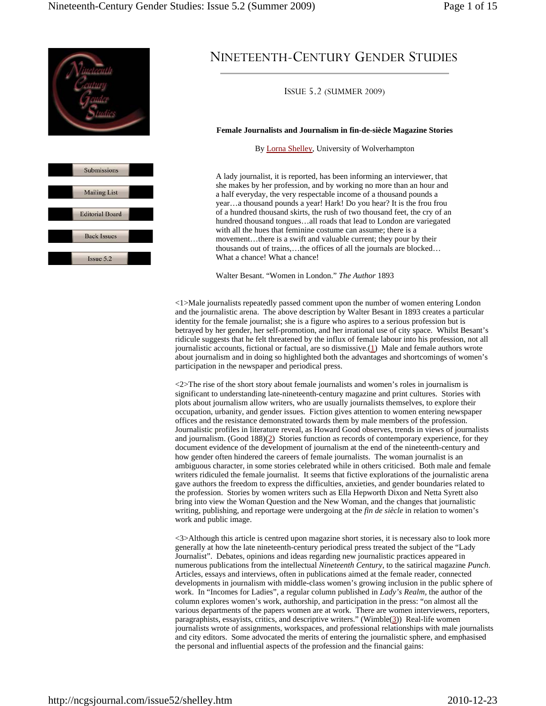



# NINETEENTH-CENTURY GENDER STUDIES

ISSUE 5.2 (SUMMER 2009)

## **Female Journalists and Journalism in fin-de-siècle Magazine Stories**

By Lorna Shelley, University of Wolverhampton

A lady journalist, it is reported, has been informing an interviewer, that she makes by her profession, and by working no more than an hour and a half everyday, the very respectable income of a thousand pounds a year…a thousand pounds a year! Hark! Do you hear? It is the frou frou of a hundred thousand skirts, the rush of two thousand feet, the cry of an hundred thousand tongues…all roads that lead to London are variegated with all the hues that feminine costume can assume; there is a movement…there is a swift and valuable current; they pour by their thousands out of trains,…the offices of all the journals are blocked… What a chance! What a chance!

Walter Besant. "Women in London." *The Author* 1893

<1>Male journalists repeatedly passed comment upon the number of women entering London and the journalistic arena. The above description by Walter Besant in 1893 creates a particular identity for the female journalist; she is a figure who aspires to a serious profession but is betrayed by her gender, her self-promotion, and her irrational use of city space. Whilst Besant's ridicule suggests that he felt threatened by the influx of female labour into his profession, not all journalistic accounts, fictional or factual, are so dismissive.(1) Male and female authors wrote about journalism and in doing so highlighted both the advantages and shortcomings of women's participation in the newspaper and periodical press.

<2>The rise of the short story about female journalists and women's roles in journalism is significant to understanding late-nineteenth-century magazine and print cultures. Stories with plots about journalism allow writers, who are usually journalists themselves, to explore their occupation, urbanity, and gender issues. Fiction gives attention to women entering newspaper offices and the resistance demonstrated towards them by male members of the profession. Journalistic profiles in literature reveal, as Howard Good observes, trends in views of journalists and journalism. (Good 188)(2) Stories function as records of contemporary experience, for they document evidence of the development of journalism at the end of the nineteenth-century and how gender often hindered the careers of female journalists. The woman journalist is an ambiguous character, in some stories celebrated while in others criticised. Both male and female writers ridiculed the female journalist. It seems that fictive explorations of the journalistic arena gave authors the freedom to express the difficulties, anxieties, and gender boundaries related to the profession. Stories by women writers such as Ella Hepworth Dixon and Netta Syrett also bring into view the Woman Question and the New Woman, and the changes that journalistic writing, publishing, and reportage were undergoing at the *fin de siècle* in relation to women's work and public image.

<3>Although this article is centred upon magazine short stories, it is necessary also to look more generally at how the late nineteenth-century periodical press treated the subject of the "Lady Journalist". Debates, opinions and ideas regarding new journalistic practices appeared in numerous publications from the intellectual *Nineteenth Century*, to the satirical magazine *Punch*. Articles, essays and interviews, often in publications aimed at the female reader, connected developments in journalism with middle-class women's growing inclusion in the public sphere of work. In "Incomes for Ladies", a regular column published in *Lady's Realm*, the author of the column explores women's work, authorship, and participation in the press: "on almost all the various departments of the papers women are at work. There are women interviewers, reporters, paragraphists, essayists, critics, and descriptive writers." (Wimble(3)) Real-life women journalists wrote of assignments, workspaces, and professional relationships with male journalists and city editors. Some advocated the merits of entering the journalistic sphere, and emphasised the personal and influential aspects of the profession and the financial gains: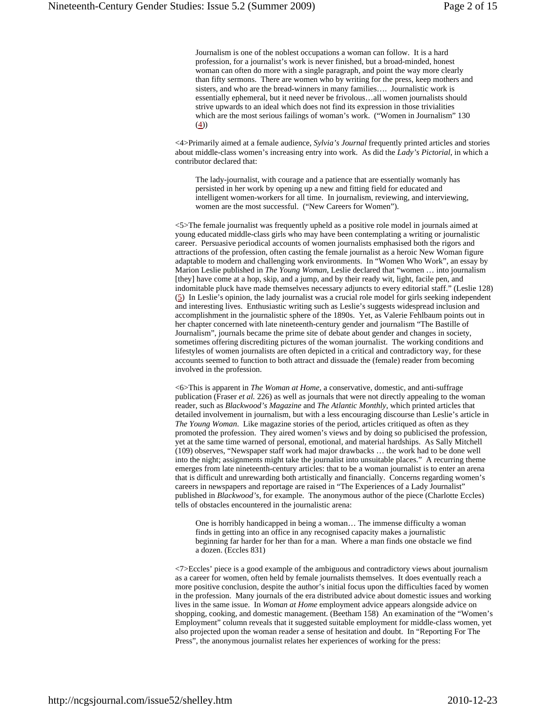Journalism is one of the noblest occupations a woman can follow. It is a hard profession, for a journalist's work is never finished, but a broad-minded, honest woman can often do more with a single paragraph, and point the way more clearly than fifty sermons. There are women who by writing for the press, keep mothers and sisters, and who are the bread-winners in many families…. Journalistic work is essentially ephemeral, but it need never be frivolous…all women journalists should strive upwards to an ideal which does not find its expression in those trivialities which are the most serious failings of woman's work. ("Women in Journalism" 130  $(4)$ 

<4>Primarily aimed at a female audience, *Sylvia's Journal* frequently printed articles and stories about middle-class women's increasing entry into work. As did the *Lady's Pictorial*, in which a contributor declared that:

The lady-journalist, with courage and a patience that are essentially womanly has persisted in her work by opening up a new and fitting field for educated and intelligent women-workers for all time. In journalism, reviewing, and interviewing, women are the most successful. ("New Careers for Women").

<5>The female journalist was frequently upheld as a positive role model in journals aimed at young educated middle-class girls who may have been contemplating a writing or journalistic career. Persuasive periodical accounts of women journalists emphasised both the rigors and attractions of the profession, often casting the female journalist as a heroic New Woman figure adaptable to modern and challenging work environments. In "Women Who Work", an essay by Marion Leslie published in *The Young Woman*, Leslie declared that "women … into journalism [they] have come at a hop, skip, and a jump, and by their ready wit, light, facile pen, and indomitable pluck have made themselves necessary adjuncts to every editorial staff." (Leslie 128) (5) In Leslie's opinion, the lady journalist was a crucial role model for girls seeking independent and interesting lives. Enthusiastic writing such as Leslie's suggests widespread inclusion and accomplishment in the journalistic sphere of the 1890s. Yet, as Valerie Fehlbaum points out in her chapter concerned with late nineteenth-century gender and journalism "The Bastille of Journalism", journals became the prime site of debate about gender and changes in society, sometimes offering discrediting pictures of the woman journalist. The working conditions and lifestyles of women journalists are often depicted in a critical and contradictory way, for these accounts seemed to function to both attract and dissuade the (female) reader from becoming involved in the profession.

<6>This is apparent in *The Woman at Home*, a conservative, domestic, and anti-suffrage publication (Fraser *et al.* 226) as well as journals that were not directly appealing to the woman reader, such as *Blackwood's Magazine* and *The Atlantic Monthly*, which printed articles that detailed involvement in journalism, but with a less encouraging discourse than Leslie's article in *The Young Woman*. Like magazine stories of the period, articles critiqued as often as they promoted the profession. They aired women's views and by doing so publicised the profession, yet at the same time warned of personal, emotional, and material hardships. As Sally Mitchell (109) observes, "Newspaper staff work had major drawbacks … the work had to be done well into the night; assignments might take the journalist into unsuitable places." A recurring theme emerges from late nineteenth-century articles: that to be a woman journalist is to enter an arena that is difficult and unrewarding both artistically and financially. Concerns regarding women's careers in newspapers and reportage are raised in "The Experiences of a Lady Journalist" published in *Blackwood's*, for example. The anonymous author of the piece (Charlotte Eccles) tells of obstacles encountered in the journalistic arena:

One is horribly handicapped in being a woman… The immense difficulty a woman finds in getting into an office in any recognised capacity makes a journalistic beginning far harder for her than for a man. Where a man finds one obstacle we find a dozen. (Eccles 831)

<7>Eccles' piece is a good example of the ambiguous and contradictory views about journalism as a career for women, often held by female journalists themselves. It does eventually reach a more positive conclusion, despite the author's initial focus upon the difficulties faced by women in the profession. Many journals of the era distributed advice about domestic issues and working lives in the same issue. In *Woman at Home* employment advice appears alongside advice on shopping, cooking, and domestic management. (Beetham 158) An examination of the "Women's Employment" column reveals that it suggested suitable employment for middle-class women, yet also projected upon the woman reader a sense of hesitation and doubt. In "Reporting For The Press", the anonymous journalist relates her experiences of working for the press: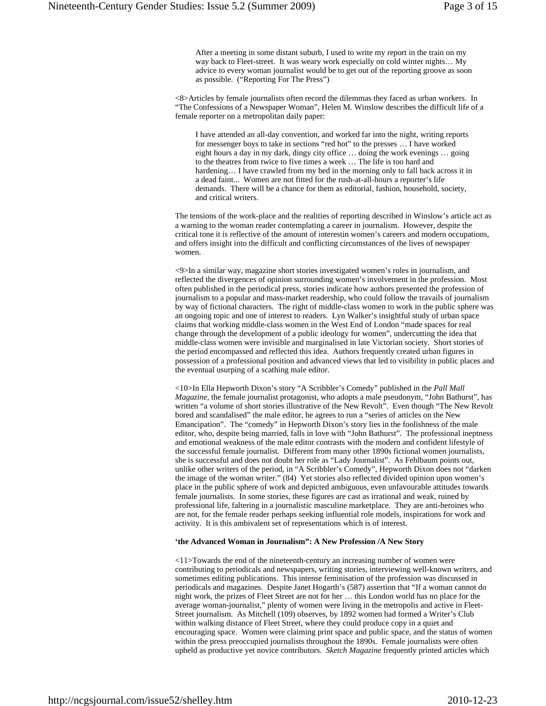After a meeting in some distant suburb, I used to write my report in the train on my way back to Fleet-street. It was weary work especially on cold winter nights… My advice to every woman journalist would be to get out of the reporting groove as soon as possible. ("Reporting For The Press")

<8>Articles by female journalists often record the dilemmas they faced as urban workers. In "The Confessions of a Newspaper Woman", Helen M. Winslow describes the difficult life of a female reporter on a metropolitan daily paper:

I have attended an all-day convention, and worked far into the night, writing reports for messenger boys to take in sections "red hot" to the presses … I have worked eight hours a day in my dark, dingy city office … doing the work evenings … going to the theatres from twice to five times a week … The life is too hard and hardening... I have crawled from my bed in the morning only to fall back across it in a dead faint... Women are not fitted for the rush-at-all-hours a reporter's life demands. There will be a chance for them as editorial, fashion, household, society, and critical writers.

The tensions of the work-place and the realities of reporting described in Winslow's article act as a warning to the woman reader contemplating a career in journalism. However, despite the critical tone it is reflective of the amount of interestin women's careers and modern occupations, and offers insight into the difficult and conflicting circumstances of the lives of newspaper women.

<9>In a similar way, magazine short stories investigated women's roles in journalism, and reflected the divergences of opinion surrounding women's involvement in the profession. Most often published in the periodical press, stories indicate how authors presented the profession of journalism to a popular and mass-market readership, who could follow the travails of journalism by way of fictional characters. The right of middle-class women to work in the public sphere was an ongoing topic and one of interest to readers. Lyn Walker's insightful study of urban space claims that working middle-class women in the West End of London "made spaces for real change through the development of a public ideology for women", undercutting the idea that middle-class women were invisible and marginalised in late Victorian society. Short stories of the period encompassed and reflected this idea. Authors frequently created urban figures in possession of a professional position and advanced views that led to visibility in public places and the eventual usurping of a scathing male editor.

<10>In Ella Hepworth Dixon's story "A Scribbler's Comedy" published in the *Pall Mall Magazine*, the female journalist protagonist, who adopts a male pseudonym, "John Bathurst", has written "a volume of short stories illustrative of the New Revolt". Even though "The New Revolt bored and scandalised" the male editor, he agrees to run a "series of articles on the New Emancipation". The "comedy" in Hepworth Dixon's story lies in the foolishness of the male editor, who, despite being married, falls in love with "John Bathurst". The professional ineptness and emotional weakness of the male editor contrasts with the modern and confident lifestyle of the successful female journalist. Different from many other 1890s fictional women journalists, she is successful and does not doubt her role as "Lady Journalist". As Fehlbaum points out, unlike other writers of the period, in "A Scribbler's Comedy", Hepworth Dixon does not "darken the image of the woman writer." (84) Yet stories also reflected divided opinion upon women's place in the public sphere of work and depicted ambiguous, even unfavourable attitudes towards female journalists. In some stories, these figures are cast as irrational and weak, ruined by professional life, faltering in a journalistic masculine marketplace. They are anti-heroines who are not, for the female reader perhaps seeking influential role models, inspirations for work and activity. It is this ambivalent set of representations which is of interest.

### **'the Advanced Woman in Journalism": A New Profession /A New Story**

<11>Towards the end of the nineteenth-century an increasing number of women were contributing to periodicals and newspapers, writing stories, interviewing well-known writers, and sometimes editing publications. This intense feminisation of the profession was discussed in periodicals and magazines. Despite Janet Hogarth's (587) assertion that "If a woman cannot do night work, the prizes of Fleet Street are not for her … this London world has no place for the average woman-journalist," plenty of women were living in the metropolis and active in Fleet-Street journalism. As Mitchell (109) observes, by 1892 women had formed a Writer's Club within walking distance of Fleet Street, where they could produce copy in a quiet and encouraging space. Women were claiming print space and public space, and the status of women within the press preoccupied journalists throughout the 1890s. Female journalists were often upheld as productive yet novice contributors. *Sketch Magazine* frequently printed articles which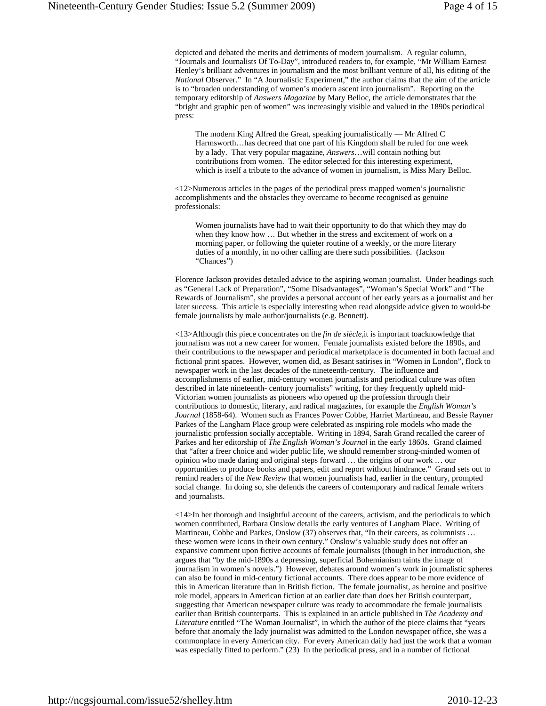depicted and debated the merits and detriments of modern journalism. A regular column, "Journals and Journalists Of To-Day", introduced readers to, for example, "Mr William Earnest Henley's brilliant adventures in journalism and the most brilliant venture of all, his editing of the *National* Observer." In "A Journalistic Experiment," the author claims that the aim of the article is to "broaden understanding of women's modern ascent into journalism". Reporting on the temporary editorship of *Answers Magazine* by Mary Belloc, the article demonstrates that the "bright and graphic pen of women" was increasingly visible and valued in the 1890s periodical press:

The modern King Alfred the Great, speaking journalistically — Mr Alfred C Harmsworth…has decreed that one part of his Kingdom shall be ruled for one week by a lady. That very popular magazine, *Answers*…will contain nothing but contributions from women. The editor selected for this interesting experiment, which is itself a tribute to the advance of women in journalism, is Miss Mary Belloc.

<12>Numerous articles in the pages of the periodical press mapped women's journalistic accomplishments and the obstacles they overcame to become recognised as genuine professionals:

Women journalists have had to wait their opportunity to do that which they may do when they know how … But whether in the stress and excitement of work on a morning paper, or following the quieter routine of a weekly, or the more literary duties of a monthly, in no other calling are there such possibilities. (Jackson "Chances")

Florence Jackson provides detailed advice to the aspiring woman journalist. Under headings such as "General Lack of Preparation", "Some Disadvantages", "Woman's Special Work" and "The Rewards of Journalism", she provides a personal account of her early years as a journalist and her later success. This article is especially interesting when read alongside advice given to would-be female journalists by male author/journalists (e.g. Bennett).

<13>Although this piece concentrates on the *fin de siècle*,it is important toacknowledge that journalism was not a new career for women. Female journalists existed before the 1890s, and their contributions to the newspaper and periodical marketplace is documented in both factual and fictional print spaces. However, women did, as Besant satirises in "Women in London", flock to newspaper work in the last decades of the nineteenth-century. The influence and accomplishments of earlier, mid-century women journalists and periodical culture was often described in late nineteenth- century journalists" writing, for they frequently upheld mid-Victorian women journalists as pioneers who opened up the profession through their contributions to domestic, literary, and radical magazines, for example the *English Woman's*  Journal (1858-64). Women such as Frances Power Cobbe, Harriet Martineau, and Bessie Rayner Parkes of the Langham Place group were celebrated as inspiring role models who made the journalistic profession socially acceptable. Writing in 1894, Sarah Grand recalled the career of Parkes and her editorship of *The English Woman's Journal* in the early 1860s. Grand claimed that "after a freer choice and wider public life, we should remember strong-minded women of opinion who made daring and original steps forward … the origins of our work … our opportunities to produce books and papers, edit and report without hindrance." Grand sets out to remind readers of the *New Review* that women journalists had, earlier in the century, prompted social change. In doing so, she defends the careers of contemporary and radical female writers and journalists.

<14>In her thorough and insightful account of the careers, activism, and the periodicals to which women contributed*,* Barbara Onslow details the early ventures of Langham Place. Writing of Martineau, Cobbe and Parkes, Onslow (37) observes that, "In their careers, as columnists ... these women were icons in their own century." Onslow's valuable study does not offer an expansive comment upon fictive accounts of female journalists (though in her introduction, she argues that "by the mid-1890s a depressing, superficial Bohemianism taints the image of journalism in women's novels.") However, debates around women's work in journalistic spheres can also be found in mid-century fictional accounts. There does appear to be more evidence of this in American literature than in British fiction. The female journalist, as heroine and positive role model, appears in American fiction at an earlier date than does her British counterpart, suggesting that American newspaper culture was ready to accommodate the female journalists earlier than British counterparts. This is explained in an article published in *The Academy and Literature* entitled "The Woman Journalist", in which the author of the piece claims that "years before that anomaly the lady journalist was admitted to the London newspaper office, she was a commonplace in every American city. For every American daily had just the work that a woman was especially fitted to perform." (23) In the periodical press, and in a number of fictional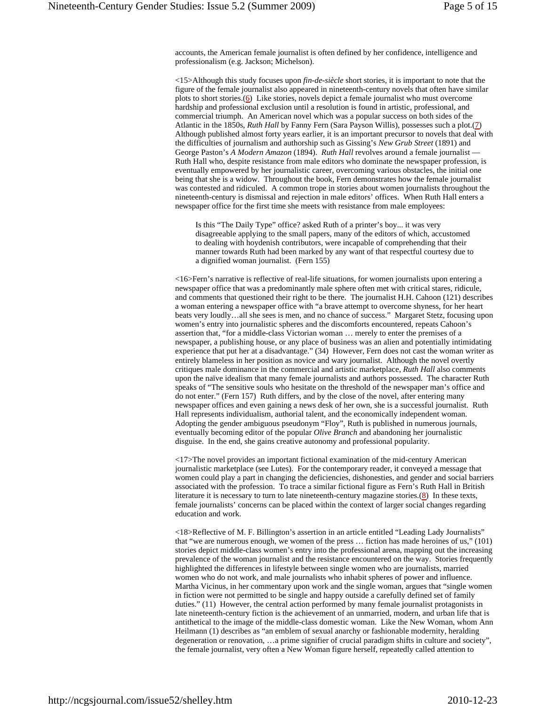accounts, the American female journalist is often defined by her confidence, intelligence and professionalism (e.g. Jackson; Michelson).

<15>Although this study focuses upon *fin-de-siècle* short stories, it is important to note that the figure of the female journalist also appeared in nineteenth-century novels that often have similar plots to short stories.(6) Like stories, novels depict a female journalist who must overcome hardship and professional exclusion until a resolution is found in artistic, professional, and commercial triumph. An American novel which was a popular success on both sides of the Atlantic in the 1850s, *Ruth Hall* by Fanny Fern (Sara Payson Willis), possesses such a plot.(7) Although published almost forty years earlier, it is an important precursor to novels that deal with the difficulties of journalism and authorship such as Gissing's *New Grub Street* (1891) and George Paston's *A Modern Amazon* (1894). *Ruth Hall* revolves around a female journalist — Ruth Hall who, despite resistance from male editors who dominate the newspaper profession, is eventually empowered by her journalistic career, overcoming various obstacles, the initial one being that she is a widow. Throughout the book, Fern demonstrates how the female journalist was contested and ridiculed. A common trope in stories about women journalists throughout the nineteenth-century is dismissal and rejection in male editors' offices. When Ruth Hall enters a newspaper office for the first time she meets with resistance from male employees:

Is this "The Daily Type" office? asked Ruth of a printer's boy... it was very disagreeable applying to the small papers, many of the editors of which, accustomed to dealing with hoydenish contributors, were incapable of comprehending that their manner towards Ruth had been marked by any want of that respectful courtesy due to a dignified woman journalist. (Fern 155)

<16>Fern's narrative is reflective of real-life situations, for women journalists upon entering a newspaper office that was a predominantly male sphere often met with critical stares, ridicule, and comments that questioned their right to be there. The journalist H.H. Cahoon (121) describes a woman entering a newspaper office with "a brave attempt to overcome shyness, for her heart beats very loudly…all she sees is men, and no chance of success." Margaret Stetz, focusing upon women's entry into journalistic spheres and the discomforts encountered, repeats Cahoon's assertion that, "for a middle-class Victorian woman … merely to enter the premises of a newspaper, a publishing house, or any place of business was an alien and potentially intimidating experience that put her at a disadvantage." (34) However, Fern does not cast the woman writer as entirely blameless in her position as novice and wary journalist. Although the novel overtly critiques male dominance in the commercial and artistic marketplace, *Ruth Hall* also comments upon the naïve idealism that many female journalists and authors possessed. The character Ruth speaks of "The sensitive souls who hesitate on the threshold of the newspaper man's office and do not enter." (Fern 157) Ruth differs, and by the close of the novel, after entering many newspaper offices and even gaining a news desk of her own, she is a successful journalist. Ruth Hall represents individualism, authorial talent, and the economically independent woman. Adopting the gender ambiguous pseudonym "Floy", Ruth is published in numerous journals, eventually becoming editor of the popular *Olive Branch* and abandoning her journalistic disguise. In the end, she gains creative autonomy and professional popularity.

<17>The novel provides an important fictional examination of the mid-century American journalistic marketplace (see Lutes). For the contemporary reader, it conveyed a message that women could play a part in changing the deficiencies, dishonesties, and gender and social barriers associated with the profession. To trace a similar fictional figure as Fern's Ruth Hall in British literature it is necessary to turn to late nineteenth-century magazine stories.(8) In these texts, female journalists' concerns can be placed within the context of larger social changes regarding education and work.

<18>Reflective of M. F. Billington's assertion in an article entitled "Leading Lady Journalists" that "we are numerous enough, we women of the press … fiction has made heroines of us," (101) stories depict middle-class women's entry into the professional arena, mapping out the increasing prevalence of the woman journalist and the resistance encountered on the way. Stories frequently highlighted the differences in lifestyle between single women who are journalists, married women who do not work, and male journalists who inhabit spheres of power and influence. Martha Vicinus, in her commentary upon work and the single woman, argues that "single women in fiction were not permitted to be single and happy outside a carefully defined set of family duties." (11) However, the central action performed by many female journalist protagonists in late nineteenth-century fiction is the achievement of an unmarried, modern, and urban life that is antithetical to the image of the middle-class domestic woman. Like the New Woman, whom Ann Heilmann (1) describes as "an emblem of sexual anarchy or fashionable modernity, heralding degeneration or renovation, …a prime signifier of crucial paradigm shifts in culture and society", the female journalist, very often a New Woman figure herself, repeatedly called attention to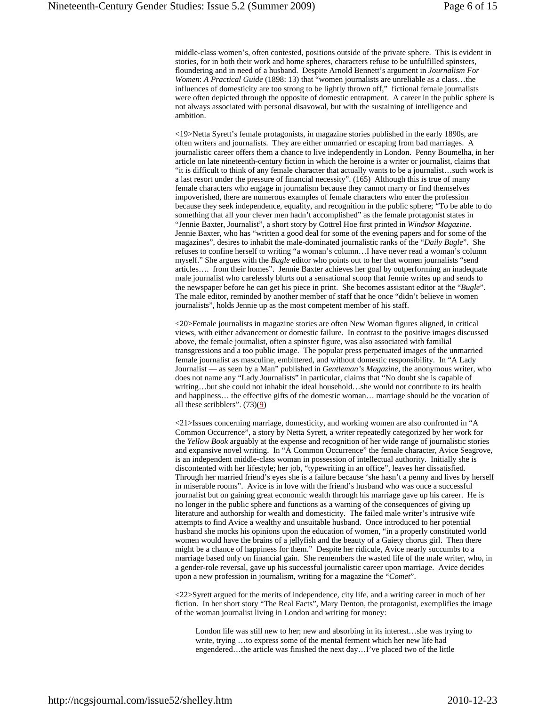middle-class women's, often contested, positions outside of the private sphere. This is evident in stories, for in both their work and home spheres, characters refuse to be unfulfilled spinsters, floundering and in need of a husband. Despite Arnold Bennett's argument in *Journalism For Women*: *A Practical Guide* (1898: 13) that "women journalists are unreliable as a class…the influences of domesticity are too strong to be lightly thrown off," fictional female journalists were often depicted through the opposite of domestic entrapment. A career in the public sphere is not always associated with personal disavowal, but with the sustaining of intelligence and ambition.

<19>Netta Syrett's female protagonists, in magazine stories published in the early 1890s, are often writers and journalists. They are either unmarried or escaping from bad marriages. A journalistic career offers them a chance to live independently in London. Penny Boumelha, in her article on late nineteenth-century fiction in which the heroine is a writer or journalist, claims that "it is difficult to think of any female character that actually wants to be a journalist…such work is a last resort under the pressure of financial necessity". (165) Although this is true of many female characters who engage in journalism because they cannot marry or find themselves impoverished, there are numerous examples of female characters who enter the profession because they seek independence, equality, and recognition in the public sphere; "To be able to do something that all your clever men hadn't accomplished" as the female protagonist states in "Jennie Baxter, Journalist", a short story by Cottrel Hoe first printed in *Windsor Magazine*. Jennie Baxter, who has "written a good deal for some of the evening papers and for some of the magazines", desires to inhabit the male-dominated journalistic ranks of the "*Daily Bugle*". She refuses to confine herself to writing "a woman's column…I have never read a woman's column myself." She argues with the *Bugle* editor who points out to her that women journalists "send articles…. from their homes". Jennie Baxter achieves her goal by outperforming an inadequate male journalist who carelessly blurts out a sensational scoop that Jennie writes up and sends to the newspaper before he can get his piece in print. She becomes assistant editor at the "*Bugle*". The male editor, reminded by another member of staff that he once "didn't believe in women journalists", holds Jennie up as the most competent member of his staff.

<20>Female journalists in magazine stories are often New Woman figures aligned, in critical views, with either advancement or domestic failure. In contrast to the positive images discussed above, the female journalist, often a spinster figure, was also associated with familial transgressions and a too public image. The popular press perpetuated images of the unmarried female journalist as masculine, embittered, and without domestic responsibility. In "A Lady Journalist — as seen by a Man" published in *Gentleman's Magazine*, the anonymous writer, who does not name any "Lady Journalists" in particular, claims that "No doubt she is capable of writing…but she could not inhabit the ideal household…she would not contribute to its health and happiness… the effective gifts of the domestic woman… marriage should be the vocation of all these scribblers".  $(73)(9)$ 

<21>Issues concerning marriage, domesticity, and working women are also confronted in "A Common Occurrence", a story by Netta Syrett, a writer repeatedly categorized by her work for the *Yellow Book* arguably at the expense and recognition of her wide range of journalistic stories and expansive novel writing. In "A Common Occurrence" the female character, Avice Seagrove, is an independent middle-class woman in possession of intellectual authority. Initially she is discontented with her lifestyle; her job, "typewriting in an office", leaves her dissatisfied. Through her married friend's eyes she is a failure because 'she hasn't a penny and lives by herself in miserable rooms". Avice is in love with the friend's husband who was once a successful journalist but on gaining great economic wealth through his marriage gave up his career. He is no longer in the public sphere and functions as a warning of the consequences of giving up literature and authorship for wealth and domesticity. The failed male writer's intrusive wife attempts to find Avice a wealthy and unsuitable husband. Once introduced to her potential husband she mocks his opinions upon the education of women, "in a properly constituted world women would have the brains of a jellyfish and the beauty of a Gaiety chorus girl. Then there might be a chance of happiness for them." Despite her ridicule, Avice nearly succumbs to a marriage based only on financial gain. She remembers the wasted life of the male writer, who, in a gender-role reversal, gave up his successful journalistic career upon marriage. Avice decides upon a new profession in journalism, writing for a magazine the "*Comet*".

<22>Syrett argued for the merits of independence, city life, and a writing career in much of her fiction. In her short story "The Real Facts", Mary Denton, the protagonist, exemplifies the image of the woman journalist living in London and writing for money:

London life was still new to her; new and absorbing in its interest…she was trying to write, trying …to express some of the mental ferment which her new life had engendered…the article was finished the next day…I've placed two of the little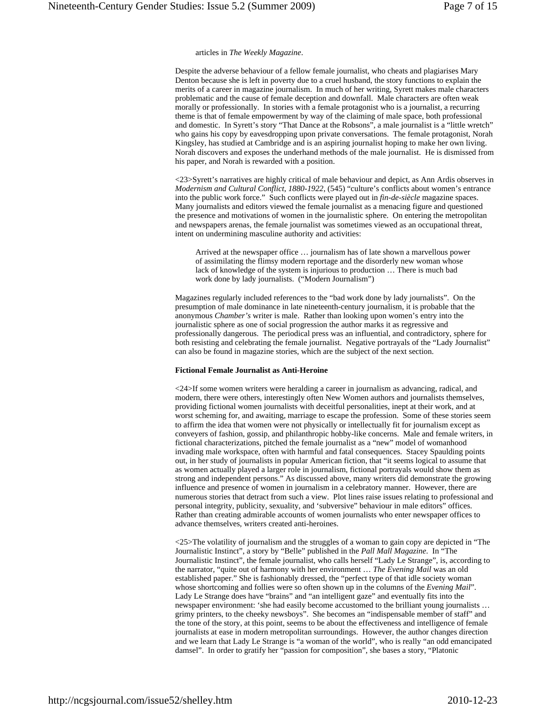#### articles in *The Weekly Magazine*.

Despite the adverse behaviour of a fellow female journalist, who cheats and plagiarises Mary Denton because she is left in poverty due to a cruel husband, the story functions to explain the merits of a career in magazine journalism. In much of her writing, Syrett makes male characters problematic and the cause of female deception and downfall. Male characters are often weak morally or professionally. In stories with a female protagonist who is a journalist, a recurring theme is that of female empowerment by way of the claiming of male space, both professional and domestic. In Syrett's story "That Dance at the Robsons", a male journalist is a "little wretch" who gains his copy by eavesdropping upon private conversations. The female protagonist, Norah Kingsley, has studied at Cambridge and is an aspiring journalist hoping to make her own living. Norah discovers and exposes the underhand methods of the male journalist. He is dismissed from his paper, and Norah is rewarded with a position.

<23>Syrett's narratives are highly critical of male behaviour and depict, as Ann Ardis observes in *Modernism and Cultural Conflict*, *1880-1922*, (545) "culture's conflicts about women's entrance into the public work force." Such conflicts were played out in *fin-de-siècle* magazine spaces. Many journalists and editors viewed the female journalist as a menacing figure and questioned the presence and motivations of women in the journalistic sphere. On entering the metropolitan and newspapers arenas, the female journalist was sometimes viewed as an occupational threat, intent on undermining masculine authority and activities:

Arrived at the newspaper office … journalism has of late shown a marvellous power of assimilating the flimsy modern reportage and the disorderly new woman whose lack of knowledge of the system is injurious to production … There is much bad work done by lady journalists. ("Modern Journalism")

Magazines regularly included references to the "bad work done by lady journalists". On the presumption of male dominance in late nineteenth-century journalism, it is probable that the anonymous *Chamber's* writer is male. Rather than looking upon women's entry into the journalistic sphere as one of social progression the author marks it as regressive and professionally dangerous. The periodical press was an influential, and contradictory, sphere for both resisting and celebrating the female journalist. Negative portrayals of the "Lady Journalist" can also be found in magazine stories, which are the subject of the next section.

#### **Fictional Female Journalist as Anti-Heroine**

<24>If some women writers were heralding a career in journalism as advancing, radical, and modern, there were others, interestingly often New Women authors and journalists themselves, providing fictional women journalists with deceitful personalities, inept at their work, and at worst scheming for, and awaiting, marriage to escape the profession. Some of these stories seem to affirm the idea that women were not physically or intellectually fit for journalism except as conveyers of fashion, gossip, and philanthropic hobby-like concerns. Male and female writers, in fictional characterizations, pitched the female journalist as a "new" model of womanhood invading male workspace, often with harmful and fatal consequences. Stacey Spaulding points out, in her study of journalists in popular American fiction, that "it seems logical to assume that as women actually played a larger role in journalism, fictional portrayals would show them as strong and independent persons." As discussed above, many writers did demonstrate the growing influence and presence of women in journalism in a celebratory manner. However, there are numerous stories that detract from such a view. Plot lines raise issues relating to professional and personal integrity, publicity, sexuality, and 'subversive" behaviour in male editors" offices. Rather than creating admirable accounts of women journalists who enter newspaper offices to advance themselves, writers created anti-heroines.

<25>The volatility of journalism and the struggles of a woman to gain copy are depicted in "The Journalistic Instinct", a story by "Belle" published in the *Pall Mall Magazine*. In "The Journalistic Instinct", the female journalist, who calls herself "Lady Le Strange", is, according to the narrator, "quite out of harmony with her environment … *The Evening Mail* was an old established paper." She is fashionably dressed, the "perfect type of that idle society woman whose shortcoming and follies were so often shown up in the columns of the *Evening Mail*". Lady Le Strange does have "brains" and "an intelligent gaze" and eventually fits into the newspaper environment: 'she had easily become accustomed to the brilliant young journalists … grimy printers, to the cheeky newsboys". She becomes an "indispensable member of staff" and the tone of the story, at this point, seems to be about the effectiveness and intelligence of female journalists at ease in modern metropolitan surroundings. However, the author changes direction and we learn that Lady Le Strange is "a woman of the world", who is really "an odd emancipated damsel". In order to gratify her "passion for composition", she bases a story, "Platonic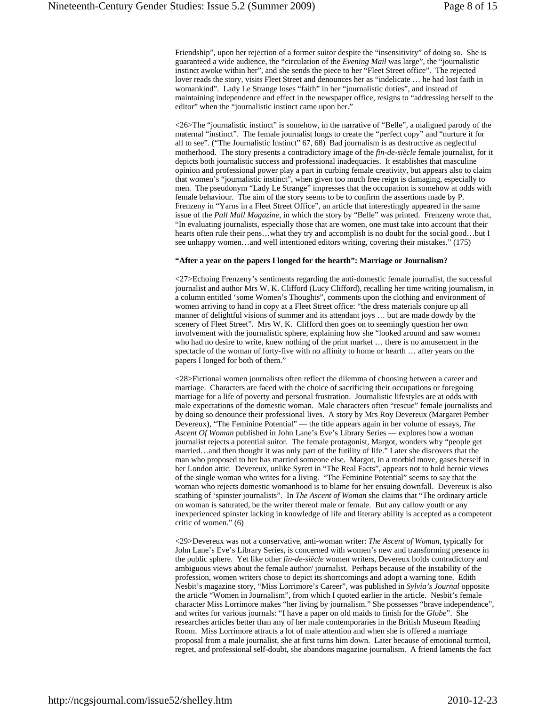Friendship", upon her rejection of a former suitor despite the "insensitivity" of doing so. She is guaranteed a wide audience, the "circulation of the *Evening Mail* was large", the "journalistic instinct awoke within her", and she sends the piece to her "Fleet Street office". The rejected lover reads the story, visits Fleet Street and denounces her as "indelicate … he had lost faith in womankind". Lady Le Strange loses "faith" in her "journalistic duties", and instead of maintaining independence and effect in the newspaper office, resigns to "addressing herself to the editor" when the "journalistic instinct came upon her."

<26>The "journalistic instinct" is somehow, in the narrative of "Belle", a maligned parody of the maternal "instinct". The female journalist longs to create the "perfect copy" and "nurture it for all to see". ("The Journalistic Instinct" 67, 68) Bad journalism is as destructive as neglectful motherhood. The story presents a contradictory image of the *fin*-*de-siècle* female journalist, for it depicts both journalistic success and professional inadequacies. It establishes that masculine opinion and professional power play a part in curbing female creativity, but appears also to claim that women's "journalistic instinct", when given too much free reign is damaging, especially to men. The pseudonym "Lady Le Strange" impresses that the occupation is somehow at odds with female behaviour. The aim of the story seems to be to confirm the assertions made by P. Frenzeny in "Yarns in a Fleet Street Office", an article that interestingly appeared in the same issue of the *Pall Mall Magazine*, in which the story by "Belle" was printed. Frenzeny wrote that, "In evaluating journalists, especially those that are women, one must take into account that their hearts often rule their pens...what they try and accomplish is no doubt for the social good...but I see unhappy women…and well intentioned editors writing, covering their mistakes." (175)

#### **"After a year on the papers I longed for the hearth": Marriage or Journalism?**

<27>Echoing Frenzeny's sentiments regarding the anti-domestic female journalist, the successful journalist and author Mrs W. K. Clifford (Lucy Clifford), recalling her time writing journalism, in a column entitled 'some Women's Thoughts", comments upon the clothing and environment of women arriving to hand in copy at a Fleet Street office: "the dress materials conjure up all manner of delightful visions of summer and its attendant joys … but are made dowdy by the scenery of Fleet Street". Mrs W. K. Clifford then goes on to seemingly question her own involvement with the journalistic sphere, explaining how she "looked around and saw women who had no desire to write, knew nothing of the print market … there is no amusement in the spectacle of the woman of forty-five with no affinity to home or hearth … after years on the papers I longed for both of them."

<28>Fictional women journalists often reflect the dilemma of choosing between a career and marriage. Characters are faced with the choice of sacrificing their occupations or foregoing marriage for a life of poverty and personal frustration. Journalistic lifestyles are at odds with male expectations of the domestic woman. Male characters often "rescue" female journalists and by doing so denounce their professional lives. A story by Mrs Roy Devereux (Margaret Pember Devereux), "The Feminine Potential" — the title appears again in her volume of essays, *The Ascent Of Woman* published in John Lane's Eve's Library Series — explores how a woman journalist rejects a potential suitor. The female protagonist, Margot, wonders why "people get married…and then thought it was only part of the futility of life." Later she discovers that the man who proposed to her has married someone else. Margot, in a morbid move, gases herself in her London attic. Devereux, unlike Syrett in "The Real Facts", appears not to hold heroic views of the single woman who writes for a living. "The Feminine Potential" seems to say that the woman who rejects domestic womanhood is to blame for her ensuing downfall. Devereux is also scathing of 'spinster journalists". In *The Ascent of Woman* she claims that "The ordinary article on woman is saturated, be the writer thereof male or female. But any callow youth or any inexperienced spinster lacking in knowledge of life and literary ability is accepted as a competent critic of women." (6)

<29>Devereux was not a conservative, anti-woman writer: *The Ascent of Woman*, typically for John Lane's Eve's Library Series, is concerned with women's new and transforming presence in the public sphere. Yet like other *fin-de-siècle* women writers, Devereux holds contradictory and ambiguous views about the female author/ journalist. Perhaps because of the instability of the profession, women writers chose to depict its shortcomings and adopt a warning tone. Edith Nesbit's magazine story, "Miss Lorrimore's Career", was published in *Sylvia's Journal* opposite the article "Women in Journalism", from which I quoted earlier in the article. Nesbit's female character Miss Lorrimore makes "her living by journalism." She possesses "brave independence", and writes for various journals: "I have a paper on old maids to finish for the *Globe*". She researches articles better than any of her male contemporaries in the British Museum Reading Room. Miss Lorrimore attracts a lot of male attention and when she is offered a marriage proposal from a male journalist, she at first turns him down. Later because of emotional turmoil, regret, and professional self-doubt, she abandons magazine journalism. A friend laments the fact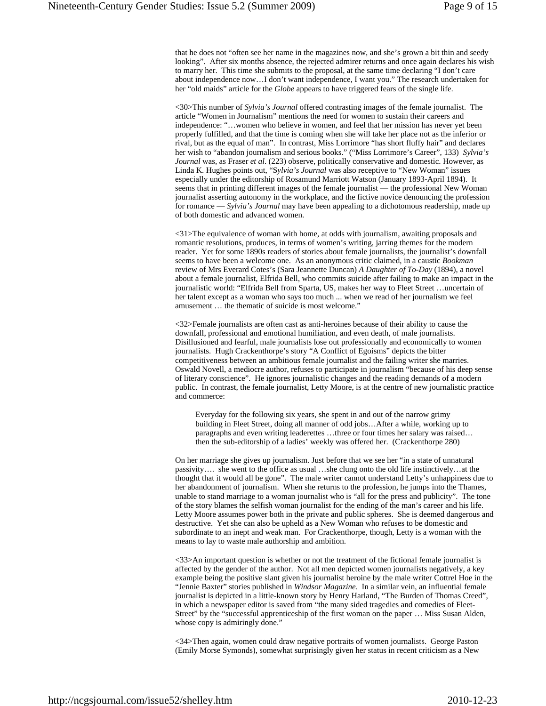that he does not "often see her name in the magazines now, and she's grown a bit thin and seedy looking". After six months absence, the rejected admirer returns and once again declares his wish to marry her. This time she submits to the proposal, at the same time declaring "I don't care about independence now…I don't want independence, I want you." The research undertaken for her "old maids" article for the *Globe* appears to have triggered fears of the single life.

<30>This number of *Sylvia's Journal* offered contrasting images of the female journalist. The article "Women in Journalism" mentions the need for women to sustain their careers and independence: "…women who believe in women, and feel that her mission has never yet been properly fulfilled, and that the time is coming when she will take her place not as the inferior or rival, but as the equal of man". In contrast, Miss Lorrimore "has short fluffy hair" and declares her wish to "abandon journalism and serious books." ("Miss Lorrimore's Career", 133) *Sylvia's Journal* was, as Fraser *et al*. (223) observe, politically conservative and domestic. However, as Linda K. Hughes points out, "S*ylvia's Journal* was also receptive to "New Woman" issues especially under the editorship of Rosamund Marriott Watson (January 1893-April 1894). It seems that in printing different images of the female journalist — the professional New Woman journalist asserting autonomy in the workplace, and the fictive novice denouncing the profession for romance — *Sylvia's Journal* may have been appealing to a dichotomous readership, made up of both domestic and advanced women.

<31>The equivalence of woman with home, at odds with journalism, awaiting proposals and romantic resolutions, produces, in terms of women's writing, jarring themes for the modern reader. Yet for some 1890s readers of stories about female journalists, the journalist's downfall seems to have been a welcome one. As an anonymous critic claimed, in a caustic *Bookman* review of Mrs Everard Cotes's (Sara Jeannette Duncan) *A Daughter of To-Day* (1894), a novel about a female journalist, Elfrida Bell, who commits suicide after failing to make an impact in the journalistic world: "Elfrida Bell from Sparta, US, makes her way to Fleet Street …uncertain of her talent except as a woman who says too much ... when we read of her journalism we feel amusement … the thematic of suicide is most welcome."

<32>Female journalists are often cast as anti-heroines because of their ability to cause the downfall, professional and emotional humiliation, and even death, of male journalists. Disillusioned and fearful, male journalists lose out professionally and economically to women journalists. Hugh Crackenthorpe's story "A Conflict of Egoisms" depicts the bitter competitiveness between an ambitious female journalist and the failing writer she marries. Oswald Novell, a mediocre author, refuses to participate in journalism "because of his deep sense of literary conscience". He ignores journalistic changes and the reading demands of a modern public. In contrast, the female journalist, Letty Moore, is at the centre of new journalistic practice and commerce:

Everyday for the following six years, she spent in and out of the narrow grimy building in Fleet Street, doing all manner of odd jobs…After a while, working up to paragraphs and even writing leaderettes …three or four times her salary was raised… then the sub-editorship of a ladies' weekly was offered her. (Crackenthorpe 280)

On her marriage she gives up journalism. Just before that we see her "in a state of unnatural passivity…. she went to the office as usual …she clung onto the old life instinctively…at the thought that it would all be gone". The male writer cannot understand Letty's unhappiness due to her abandonment of journalism. When she returns to the profession, he jumps into the Thames, unable to stand marriage to a woman journalist who is "all for the press and publicity". The tone of the story blames the selfish woman journalist for the ending of the man's career and his life. Letty Moore assumes power both in the private and public spheres. She is deemed dangerous and destructive. Yet she can also be upheld as a New Woman who refuses to be domestic and subordinate to an inept and weak man. For Crackenthorpe, though, Letty is a woman with the means to lay to waste male authorship and ambition.

<33>An important question is whether or not the treatment of the fictional female journalist is affected by the gender of the author. Not all men depicted women journalists negatively, a key example being the positive slant given his journalist heroine by the male writer Cottrel Hoe in the "Jennie Baxter" stories published in *Windsor Magazine*. In a similar vein, an influential female journalist is depicted in a little-known story by Henry Harland, "The Burden of Thomas Creed", in which a newspaper editor is saved from "the many sided tragedies and comedies of Fleet-Street" by the "successful apprenticeship of the first woman on the paper … Miss Susan Alden, whose copy is admiringly done."

<34>Then again, women could draw negative portraits of women journalists. George Paston (Emily Morse Symonds), somewhat surprisingly given her status in recent criticism as a New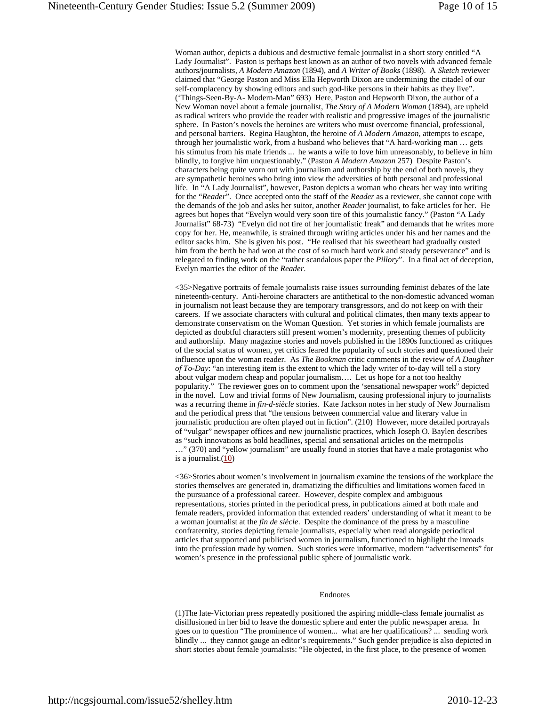Woman author, depicts a dubious and destructive female journalist in a short story entitled "A Lady Journalist". Paston is perhaps best known as an author of two novels with advanced female authors/journalists, *A Modern Amazon* (1894), and *A Writer of Books* (1898). A *Sketch* reviewer claimed that "George Paston and Miss Ella Hepworth Dixon are undermining the citadel of our self-complacency by showing editors and such god-like persons in their habits as they live". ('Things-Seen-By-A- Modern-Man" 693) Here, Paston and Hepworth Dixon, the author of a New Woman novel about a female journalist, *The Story of A Modern Woman* (1894), are upheld as radical writers who provide the reader with realistic and progressive images of the journalistic sphere. In Paston's novels the heroines are writers who must overcome financial, professional, and personal barriers. Regina Haughton, the heroine of *A Modern Amazon*, attempts to escape, through her journalistic work, from a husband who believes that "A hard-working man … gets his stimulus from his male friends ... he wants a wife to love him unreasonably, to believe in him blindly, to forgive him unquestionably." (Paston *A Modern Amazon* 257) Despite Paston's characters being quite worn out with journalism and authorship by the end of both novels, they are sympathetic heroines who bring into view the adversities of both personal and professional life. In "A Lady Journalist", however, Paston depicts a woman who cheats her way into writing for the "*Reader*". Once accepted onto the staff of the *Reader* as a reviewer, she cannot cope with the demands of the job and asks her suitor, another *Reader* journalist, to fake articles for her. He agrees but hopes that "Evelyn would very soon tire of this journalistic fancy." (Paston "A Lady Journalist" 68-73) "Evelyn did not tire of her journalistic freak" and demands that he writes more copy for her. He, meanwhile, is strained through writing articles under his and her names and the editor sacks him. She is given his post. "He realised that his sweetheart had gradually ousted him from the berth he had won at the cost of so much hard work and steady perseverance" and is relegated to finding work on the "rather scandalous paper the *Pillory*". In a final act of deception, Evelyn marries the editor of the *Reader*.

<35>Negative portraits of female journalists raise issues surrounding feminist debates of the late nineteenth-century. Anti-heroine characters are antithetical to the non-domestic advanced woman in journalism not least because they are temporary transgressors, and do not keep on with their careers. If we associate characters with cultural and political climates, then many texts appear to demonstrate conservatism on the Woman Question. Yet stories in which female journalists are depicted as doubtful characters still present women's modernity, presenting themes of publicity and authorship. Many magazine stories and novels published in the 1890s functioned as critiques of the social status of women, yet critics feared the popularity of such stories and questioned their influence upon the woman reader. As *The Bookman* critic comments in the review of *A Daughter of To-Day*: "an interesting item is the extent to which the lady writer of to-day will tell a story about vulgar modern cheap and popular journalism…. Let us hope for a not too healthy popularity." The reviewer goes on to comment upon the 'sensational newspaper work" depicted in the novel. Low and trivial forms of New Journalism, causing professional injury to journalists was a recurring theme in *fin-d-siècle* stories. Kate Jackson notes in her study of New Journalism and the periodical press that "the tensions between commercial value and literary value in journalistic production are often played out in fiction". (210) However, more detailed portrayals of "vulgar" newspaper offices and new journalistic practices, which Joseph O. Baylen describes as "such innovations as bold headlines, special and sensational articles on the metropolis …" (370) and "yellow journalism" are usually found in stories that have a male protagonist who is a journalist. $(10)$ 

<36>Stories about women's involvement in journalism examine the tensions of the workplace the stories themselves are generated in, dramatizing the difficulties and limitations women faced in the pursuance of a professional career. However, despite complex and ambiguous representations, stories printed in the periodical press, in publications aimed at both male and female readers, provided information that extended readers' understanding of what it meant to be a woman journalist at the *fin de siècle*. Despite the dominance of the press by a masculine confraternity, stories depicting female journalists, especially when read alongside periodical articles that supported and publicised women in journalism, functioned to highlight the inroads into the profession made by women. Such stories were informative, modern "advertisements" for women's presence in the professional public sphere of journalistic work.

#### Endnotes

(1)The late-Victorian press repeatedly positioned the aspiring middle-class female journalist as disillusioned in her bid to leave the domestic sphere and enter the public newspaper arena. In goes on to question "The prominence of women... what are her qualifications? ... sending work blindly ... they cannot gauge an editor's requirements." Such gender prejudice is also depicted in short stories about female journalists: "He objected, in the first place, to the presence of women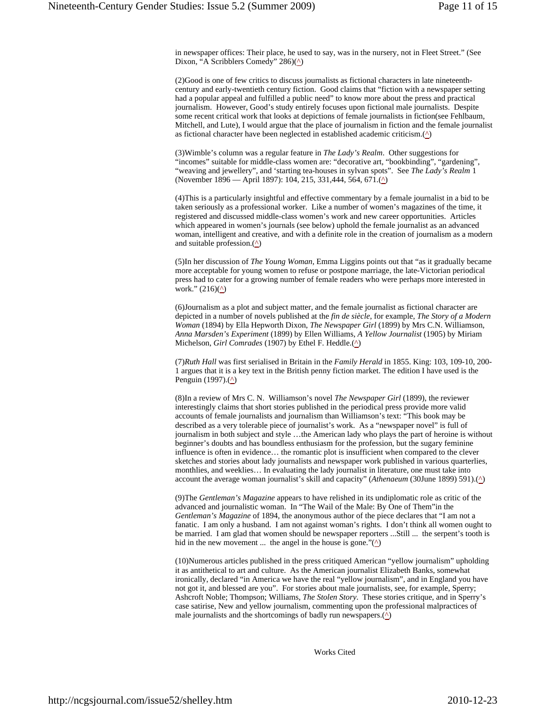in newspaper offices: Their place, he used to say, was in the nursery, not in Fleet Street." (See Dixon, "A Scribblers Comedy" 286) $(\triangle)$ 

(2)Good is one of few critics to discuss journalists as fictional characters in late nineteenthcentury and early-twentieth century fiction. Good claims that "fiction with a newspaper setting had a popular appeal and fulfilled a public need" to know more about the press and practical journalism. However, Good's study entirely focuses upon fictional male journalists. Despite some recent critical work that looks at depictions of female journalists in fiction(see Fehlbaum, Mitchell, and Lute), I would argue that the place of journalism in fiction and the female journalist as fictional character have been neglected in established academic criticism. $($ ^{\wedge})

(3)Wimble's column was a regular feature in *The Lady's Realm*. Other suggestions for "incomes" suitable for middle-class women are: "decorative art, "bookbinding", "gardening", "weaving and jewellery", and 'starting tea-houses in sylvan spots". See *The Lady's Realm* 1 (November 1896 — April 1897): 104, 215, 331,444, 564, 671.(^)

(4)This is a particularly insightful and effective commentary by a female journalist in a bid to be taken seriously as a professional worker. Like a number of women's magazines of the time, it registered and discussed middle-class women's work and new career opportunities. Articles which appeared in women's journals (see below) uphold the female journalist as an advanced woman, intelligent and creative, and with a definite role in the creation of journalism as a modern and suitable profession. $(\triangle)$ 

(5)In her discussion of *The Young Woman*, Emma Liggins points out that "as it gradually became more acceptable for young women to refuse or postpone marriage, the late-Victorian periodical press had to cater for a growing number of female readers who were perhaps more interested in work."  $(216)(\Delta)$ 

(6)Journalism as a plot and subject matter, and the female journalist as fictional character are depicted in a number of novels published at the *fin de siècle*, for example, *The Story of a Modern Woman* (1894) by Ella Hepworth Dixon, *The Newspaper Girl* (1899) by Mrs C.N. Williamson, *Anna Marsden's Experiment* (1899) by Ellen Williams, *A Yellow Journalist* (1905) by Miriam Michelson, *Girl Comrades* (1907) by Ethel F. Heddle.( $\triangle$ )

(7)*Ruth Hall* was first serialised in Britain in the *Family Herald* in 1855. King: 103, 109-10, 200- 1 argues that it is a key text in the British penny fiction market. The edition I have used is the Penguin (1997). $($ <u>^</u>)

(8)In a review of Mrs C. N. Williamson's novel *The Newspaper Girl* (1899), the reviewer interestingly claims that short stories published in the periodical press provide more valid accounts of female journalists and journalism than Williamson's text: "This book may be described as a very tolerable piece of journalist's work. As a "newspaper novel" is full of journalism in both subject and style …the American lady who plays the part of heroine is without beginner's doubts and has boundless enthusiasm for the profession, but the sugary feminine influence is often in evidence… the romantic plot is insufficient when compared to the clever sketches and stories about lady journalists and newspaper work published in various quarterlies, monthlies, and weeklies… In evaluating the lady journalist in literature, one must take into account the average woman journalist's skill and capacity" (*Athenaeum* (30June 1899) 591).(^)

(9)The *Gentleman's Magazine* appears to have relished in its undiplomatic role as critic of the advanced and journalistic woman. In "The Wail of the Male: By One of Them"in the *Gentleman's Magazine* of 1894, the anonymous author of the piece declares that "I am not a fanatic. I am only a husband. I am not against woman's rights. I don't think all women ought to be married. I am glad that women should be newspaper reporters ...Still ... the serpent's tooth is hid in the new movement ... the angel in the house is gone." $($ <u>^</u>)

(10)Numerous articles published in the press critiqued American "yellow journalism" upholding it as antithetical to art and culture. As the American journalist Elizabeth Banks, somewhat ironically, declared "in America we have the real "yellow journalism", and in England you have not got it, and blessed are you". For stories about male journalists, see, for example, Sperry; Ashcroft Noble; Thompson; Williams, *The Stolen Story*. These stories critique, and in Sperry's case satirise, New and yellow journalism, commenting upon the professional malpractices of male journalists and the shortcomings of badly run newspapers. $(\triangle)$ 

Works Cited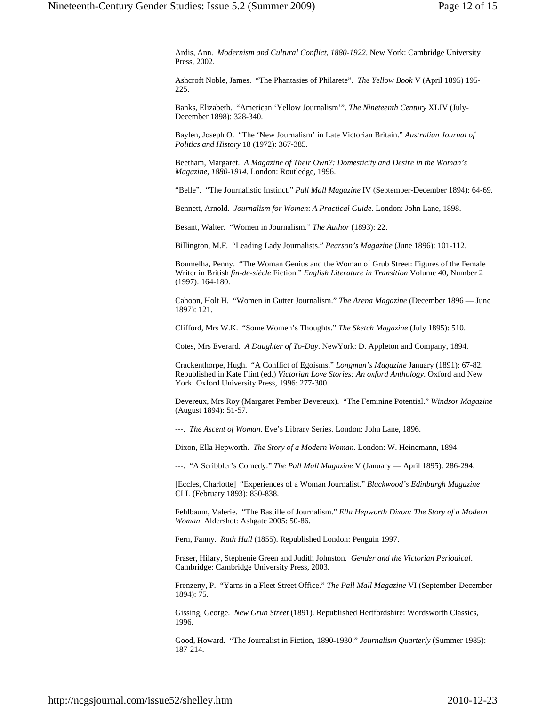Ardis, Ann. *Modernism and Cultural Conflict, 1880-1922*. New York: Cambridge University Press, 2002.

Ashcroft Noble, James. "The Phantasies of Philarete". *The Yellow Book* V (April 1895) 195- 225.

Banks, Elizabeth. "American 'Yellow Journalism'". *The Nineteenth Century* XLIV (July-December 1898): 328-340.

Baylen, Joseph O. "The 'New Journalism' in Late Victorian Britain." *Australian Journal of Politics and History* 18 (1972): 367-385.

Beetham, Margaret. *A Magazine of Their Own?: Domesticity and Desire in the Woman's Magazine, 1880-1914*. London: Routledge, 1996.

"Belle". "The Journalistic Instinct." *Pall Mall Magazine* IV (September-December 1894): 64-69.

Bennett, Arnold. *Journalism for Women*: *A Practical Guide*. London: John Lane, 1898.

Besant, Walter. "Women in Journalism." *The Author* (1893): 22.

Billington, M.F. "Leading Lady Journalists." *Pearson's Magazine* (June 1896): 101-112.

Boumelha, Penny. "The Woman Genius and the Woman of Grub Street: Figures of the Female Writer in British *fin-de-siècle* Fiction." *English Literature in Transition* Volume 40, Number 2 (1997): 164-180.

Cahoon, Holt H. "Women in Gutter Journalism." *The Arena Magazine* (December 1896 — June 1897): 121.

Clifford, Mrs W.K. "Some Women's Thoughts." *The Sketch Magazine* (July 1895): 510.

Cotes, Mrs Everard. *A Daughter of To-Day*. NewYork: D. Appleton and Company, 1894.

Crackenthorpe, Hugh. "A Conflict of Egoisms." *Longman's Magazine* January (1891): 67-82. Republished in Kate Flint (ed.) *Victorian Love Stories: An oxford Anthology*. Oxford and New York: Oxford University Press, 1996: 277-300.

Devereux, Mrs Roy (Margaret Pember Devereux). "The Feminine Potential." *Windsor Magazine* (August 1894): 51-57.

---. *The Ascent of Woman*. Eve's Library Series. London: John Lane, 1896.

Dixon, Ella Hepworth. *The Story of a Modern Woman*. London: W. Heinemann, 1894.

---. "A Scribbler's Comedy." *The Pall Mall Magazine* V (January — April 1895): 286-294.

[Eccles, Charlotte] "Experiences of a Woman Journalist." *Blackwood's Edinburgh Magazine*  CLL (February 1893): 830-838.

Fehlbaum, Valerie. "The Bastille of Journalism." *Ella Hepworth Dixon: The Story of a Modern Woman*. Aldershot: Ashgate 2005: 50-86.

Fern, Fanny. *Ruth Hall* (1855). Republished London: Penguin 1997.

Fraser, Hilary, Stephenie Green and Judith Johnston. *Gender and the Victorian Periodical*. Cambridge: Cambridge University Press, 2003.

Frenzeny, P. "Yarns in a Fleet Street Office." *The Pall Mall Magazine* VI (September-December 1894): 75.

Gissing, George. *New Grub Street* (1891). Republished Hertfordshire: Wordsworth Classics, 1996.

Good, Howard. "The Journalist in Fiction, 1890-1930." *Journalism Quarterly* (Summer 1985): 187-214.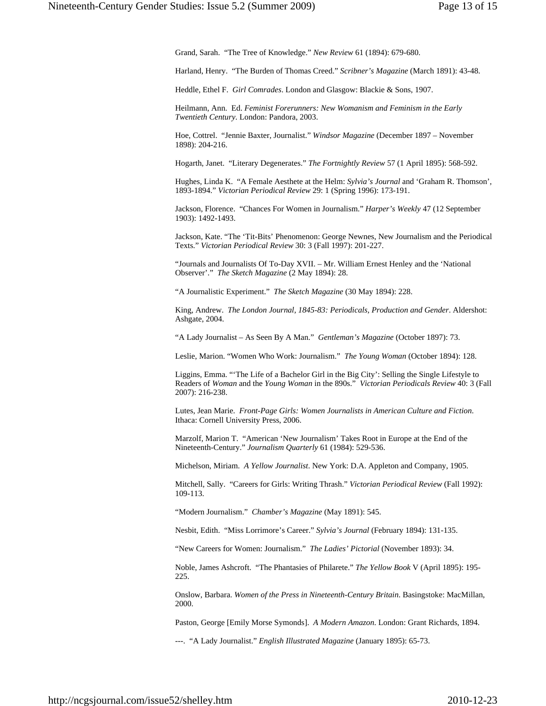Grand, Sarah. "The Tree of Knowledge." *New Review* 61 (1894): 679-680.

Harland, Henry. "The Burden of Thomas Creed." *Scribner's Magazine* (March 1891): 43-48.

Heddle, Ethel F. *Girl Comrades*. London and Glasgow: Blackie & Sons, 1907.

Heilmann, Ann. Ed. *Feminist Forerunners: New Womanism and Feminism in the Early Twentieth Century*. London: Pandora, 2003.

Hoe, Cottrel. "Jennie Baxter, Journalist." *Windsor Magazine* (December 1897 – November 1898): 204-216.

Hogarth, Janet. "Literary Degenerates." *The Fortnightly Review* 57 (1 April 1895): 568-592.

Hughes, Linda K. "A Female Aesthete at the Helm: *Sylvia's Journal* and 'Graham R. Thomson', 1893-1894." *Victorian Periodical Review* 29: 1 (Spring 1996): 173-191.

Jackson, Florence. "Chances For Women in Journalism." *Harper's Weekly* 47 (12 September 1903): 1492-1493.

Jackson, Kate. "The 'Tit-Bits' Phenomenon: George Newnes, New Journalism and the Periodical Texts." *Victorian Periodical Review* 30: 3 (Fall 1997): 201-227.

"Journals and Journalists Of To-Day XVII. – Mr. William Ernest Henley and the 'National Observer'." *The Sketch Magazine* (2 May 1894): 28.

"A Journalistic Experiment." *The Sketch Magazine* (30 May 1894): 228.

King, Andrew. *The London Journal, 1845-83: Periodicals, Production and Gender*. Aldershot: Ashgate, 2004.

"A Lady Journalist – As Seen By A Man." *Gentleman's Magazine* (October 1897): 73.

Leslie, Marion. "Women Who Work: Journalism." *The Young Woman* (October 1894): 128.

Liggins, Emma. "'The Life of a Bachelor Girl in the Big City': Selling the Single Lifestyle to Readers of *Woman* and the *Young Woman* in the 890s." *Victorian Periodicals Review* 40: 3 (Fall 2007): 216-238.

Lutes, Jean Marie. *Front-Page Girls: Women Journalists in American Culture and Fiction*. Ithaca: Cornell University Press, 2006.

Marzolf, Marion T. "American 'New Journalism' Takes Root in Europe at the End of the Nineteenth-Century." *Journalism Quarterly* 61 (1984): 529-536.

Michelson, Miriam. *A Yellow Journalist*. New York: D.A. Appleton and Company, 1905.

Mitchell, Sally. "Careers for Girls: Writing Thrash." *Victorian Periodical Review* (Fall 1992): 109-113.

"Modern Journalism." *Chamber's Magazine* (May 1891): 545.

Nesbit, Edith. "Miss Lorrimore's Career." *Sylvia's Journal* (February 1894): 131-135.

"New Careers for Women: Journalism." *The Ladies' Pictorial* (November 1893): 34.

Noble, James Ashcroft. "The Phantasies of Philarete." *The Yellow Book* V (April 1895): 195- 225.

Onslow, Barbara. *Women of the Press in Nineteenth-Century Britain*. Basingstoke: MacMillan, 2000.

Paston, George [Emily Morse Symonds]. *A Modern Amazon*. London: Grant Richards, 1894.

---. "A Lady Journalist." *English Illustrated Magazine* (January 1895): 65-73.